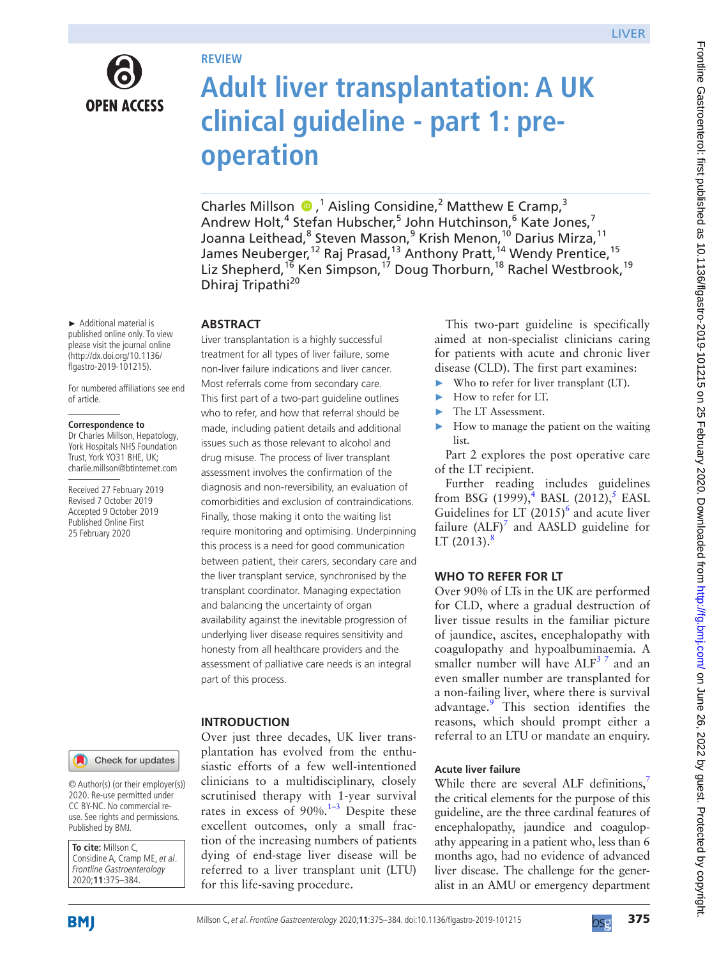

# **Adult liver transplantation: A UK clinical guideline - part 1: preoperation**

CharlesMillson  $\bigcirc$ ,<sup>1</sup> Aisling Considine,<sup>2</sup> Matthew E Cramp,<sup>3</sup> Andrew Holt,<sup>4</sup> Stefan Hubscher,<sup>5</sup> John Hutchinson,<sup>6</sup> Kate Jones,<sup>7</sup> Joanna Leithead,<sup>8</sup> Steven Masson,<sup>9</sup> Krish Menon,<sup>10</sup> Darius Mirza,<sup>11</sup> James Neuberger,<sup>12</sup> Raj Prasad,<sup>13</sup> Anthony Pratt,<sup>14</sup> Wendy Prentice,<sup>15</sup> Liz Shepherd,<sup>16</sup> Ken Simpson,<sup>17</sup> Doug Thorburn,<sup>18</sup> Rachel Westbrook,<sup>19</sup> Dhiraj Tripathi<sup>20</sup>

## **Abstract**

**Review**

Liver transplantation is a highly successful treatment for all types of liver failure, some non-liver failure indications and liver cancer. Most referrals come from secondary care. This first part of a two-part guideline outlines who to refer, and how that referral should be made, including patient details and additional issues such as those relevant to alcohol and drug misuse. The process of liver transplant assessment involves the confirmation of the diagnosis and non-reversibility, an evaluation of comorbidities and exclusion of contraindications. Finally, those making it onto the waiting list require monitoring and optimising. Underpinning this process is a need for good communication between patient, their carers, secondary care and the liver transplant service, synchronised by the transplant coordinator. Managing expectation and balancing the uncertainty of organ availability against the inevitable progression of underlying liver disease requires sensitivity and honesty from all healthcare providers and the assessment of palliative care needs is an integral part of this process.

## **Introduction**

Over just three decades, UK liver transplantation has evolved from the enthusiastic efforts of a few well-intentioned clinicians to a multidisciplinary, closely scrutinised therapy with 1-year survival rates in excess of  $90\%$ .<sup>1-3</sup> Despite these excellent outcomes, only a small fraction of the increasing numbers of patients dying of end-stage liver disease will be referred to a liver transplant unit (LTU) for this life-saving procedure.

This two-part guideline is specifically aimed at non-specialist clinicians caring for patients with acute and chronic liver disease (CLD). The first part examines:

- ► Who to refer for liver transplant (LT).
- ► How to refer for LT.
- ► The LT Assessment.
- ► How to manage the patient on the waiting list.

Part 2 explores the post operative care of the LT recipient.

Frontline Gastroenterol: first published as 10.1136/flgastro-2019-101215 on 25 February 2020. Downloaded from http://fg.bmi.com/ on June 26, 2022 by guest. Protected by copyright. Frontline Gastroenterol: first published as 10.11136/flgastro-2019-101215 on 25 February 2020. Downloaded from http://tg.bmj.com/ on June 26, 2022 by guest. Protected by copyright.

Further reading includes guidelines from BSG  $(1999)$ ,<sup>[4](#page-8-1)</sup> BASL  $(2012)$ ,<sup>[5](#page-8-2)</sup> EASL Guidelines for LT  $(2015)^6$  $(2015)^6$  and acute liver failure  $(ALF)^7$  and AASLD guideline for LT  $(2013)^8$ 

## **Who to refer for LT**

Over 90% of LTs in the UK are performed for CLD, where a gradual destruction of liver tissue results in the familiar picture of jaundice, ascites, encephalopathy with coagulopathy and hypoalbuminaemia. A smaller number will have  $ALF<sup>37</sup>$  and an even smaller number are transplanted for a non-failing liver, where there is survival advantage.<sup>[9](#page-8-7)</sup> This section identifies the reasons, which should prompt either a referral to an LTU or mandate an enquiry.

## **Acute liver failure**

While there are several ALF definitions,<sup>7</sup> the critical elements for the purpose of this guideline, are the three cardinal features of encephalopathy, jaundice and coagulopathy appearing in a patient who, less than 6 months ago, had no evidence of advanced liver disease. The challenge for the generalist in an AMU or emergency department

► Additional material is published online only. To view please visit the journal online ([http://dx.doi.org/10.1136/](http://dx.doi.org/10.1136/flgastro-2019-101215) [flgastro-2019-101215\)](http://dx.doi.org/10.1136/flgastro-2019-101215).

For numbered affiliations see end of article.

#### **Correspondence to**

Dr Charles Millson, Hepatology, York Hospitals NHS Foundation Trust, York YO31 8HE, UK; charlie.millson@btinternet.com

Received 27 February 2019 Revised 7 October 2019 Accepted 9 October 2019 Published Online First 25 February 2020



© Author(s) (or their employer(s)) 2020. Re-use permitted under CC BY-NC. No commercial reuse. See rights and permissions. Published by BMJ.

**To cite:** Millson C, Considine A, Cramp ME, et al. Frontline Gastroenterology 2020;**11**:375–384.

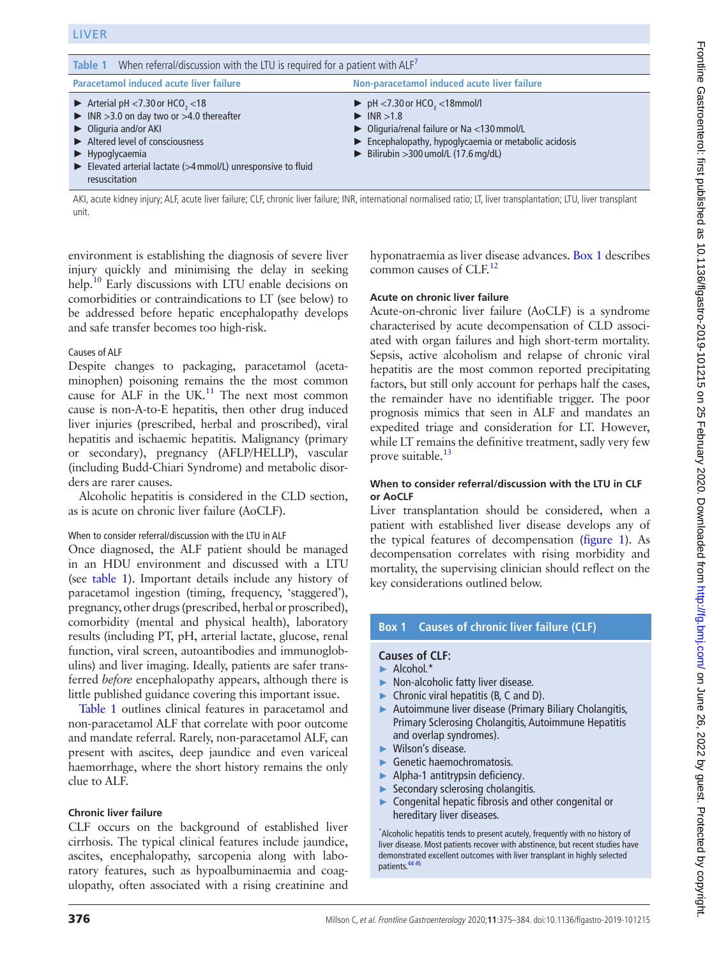<span id="page-1-0"></span>

| <b>Table 1</b> When referral/discussion with the LTU is required for a patient with $ALF7$                                                                                                                                                                                                                                    |                                                                                                                                                                                                                                                                              |  |
|-------------------------------------------------------------------------------------------------------------------------------------------------------------------------------------------------------------------------------------------------------------------------------------------------------------------------------|------------------------------------------------------------------------------------------------------------------------------------------------------------------------------------------------------------------------------------------------------------------------------|--|
| <b>Paracetamol induced acute liver failure</b>                                                                                                                                                                                                                                                                                | Non-paracetamol induced acute liver failure                                                                                                                                                                                                                                  |  |
| Arterial pH <7.30 or HCO <sub>3</sub> <18<br>$\triangleright$ INR > 3.0 on day two or > 4.0 thereafter<br>$\triangleright$ Oliguria and/or AKI<br>Altered level of consciousness<br>$\blacktriangleright$ Hypoglycaemia<br>$\blacktriangleright$ Elevated arterial lactate (>4 mmol/L) unresponsive to fluid<br>resuscitation | $\blacktriangleright$ pH <7.30 or HCO <sub>3</sub> <18mmol/l<br>$\blacktriangleright$ INR $>1.8$<br>$\triangleright$ Oliguria/renal failure or Na <130 mmol/L<br>Encephalopathy, hypoglycaemia or metabolic acidosis<br>$\triangleright$ Bilirubin > 300 umol/L (17.6 mg/dL) |  |

AKI, acute kidney injury; ALF, acute liver failure; CLF, chronic liver failure; INR, international normalised ratio; LT, liver transplantation; LTU, liver transplant unit.

environment is establishing the diagnosis of severe liver injury quickly and minimising the delay in seeking help.<sup>10</sup> Early discussions with LTU enable decisions on comorbidities or contraindications to LT (see below) to be addressed before hepatic encephalopathy develops and safe transfer becomes too high-risk.

#### Causes of ALF

Liver

Despite changes to packaging, paracetamol (acetaminophen) poisoning remains the the most common cause for ALF in the UK.<sup>11</sup> The next most common cause is non-A-to-E hepatitis, then other drug induced liver injuries (prescribed, herbal and proscribed), viral hepatitis and ischaemic hepatitis. Malignancy (primary or secondary), pregnancy (AFLP/HELLP), vascular (including Budd-Chiari Syndrome) and metabolic disorders are rarer causes.

Alcoholic hepatitis is considered in the CLD section, as is acute on chronic liver failure (AoCLF).

#### When to consider referral/discussion with the LTU in ALF

Once diagnosed, the ALF patient should be managed in an HDU environment and discussed with a LTU (see [table](#page-1-0) 1). Important details include any history of paracetamol ingestion (timing, frequency, 'staggered'), pregnancy, other drugs (prescribed, herbal or proscribed), comorbidity (mental and physical health), laboratory results (including PT, pH, arterial lactate, glucose, renal function, viral screen, autoantibodies and immunoglobulins) and liver imaging. Ideally, patients are safer transferred *before* encephalopathy appears, although there is little published guidance covering this important issue.

[Table](#page-1-0) 1 outlines clinical features in paracetamol and non-paracetamol ALF that correlate with poor outcome and mandate referral. Rarely, non-paracetamol ALF, can present with ascites, deep jaundice and even variceal haemorrhage, where the short history remains the only clue to ALF.

#### **Chronic liver failure**

CLF occurs on the background of established liver cirrhosis. The typical clinical features include jaundice, ascites, encephalopathy, sarcopenia along with laboratory features, such as hypoalbuminaemia and coagulopathy, often associated with a rising creatinine and

hyponatraemia as liver disease advances. [Box](#page-1-1) 1 describes common causes of  $CLF<sup>12</sup>$  $CLF<sup>12</sup>$  $CLF<sup>12</sup>$ 

#### **Acute on chronic liver failure**

Acute-on-chronic liver failure (AoCLF) is a syndrome characterised by acute decompensation of CLD associated with organ failures and high short-term mortality. Sepsis, active alcoholism and relapse of chronic viral hepatitis are the most common reported precipitating factors, but still only account for perhaps half the cases, the remainder have no identifiable trigger. The poor prognosis mimics that seen in ALF and mandates an expedited triage and consideration for LT. However, while LT remains the definitive treatment, sadly very few prove suitable.<sup>13</sup>

#### **When to consider referral/discussion with the LTU in CLF or AoCLF**

Liver transplantation should be considered, when a patient with established liver disease develops any of the typical features of decompensation [\(figure](#page-2-0) 1). As decompensation correlates with rising morbidity and mortality, the supervising clinician should reflect on the key considerations outlined below.

## **Box 1 Causes of chronic liver failure (CLF)**

#### <span id="page-1-1"></span>**Causes of CLF:**

- ► Alcohol.\*
- ► Non-alcoholic fatty liver disease.
- ► Chronic viral hepatitis (B, C and D).
- Autoimmune liver disease (Primary Biliary Cholangitis, Primary Sclerosing Cholangitis, Autoimmune Hepatitis and overlap syndromes).
- ► Wilson's disease.
- Genetic haemochromatosis.
- ► Alpha-1 antitrypsin deficiency.
- ► Secondary sclerosing cholangitis.
- ► Congenital hepatic fibrosis and other congenital or hereditary liver diseases.

\* Alcoholic hepatitis tends to present acutely, frequently with no history of liver disease. Most patients recover with abstinence, but recent studies have demonstrated excellent outcomes with liver transplant in highly selected patients.<sup>444</sup>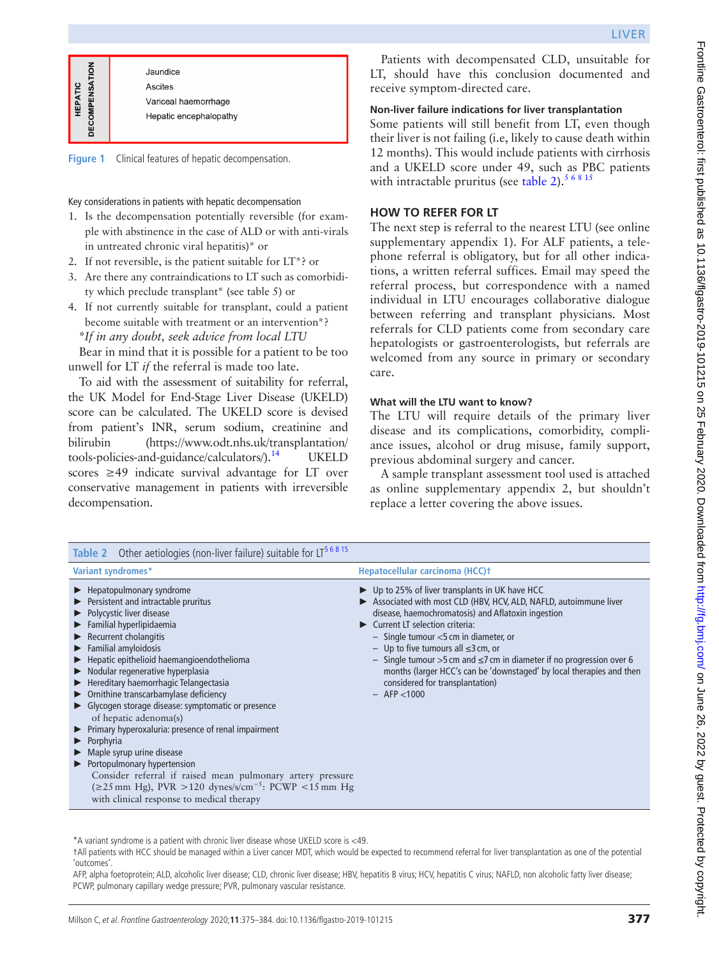| EPATI<br>릅 | Jaundice<br>Ascites<br>Variceal haemorrhage |
|------------|---------------------------------------------|
| ш          | Hepatic encephalopathy                      |

<span id="page-2-0"></span>**Figure 1** Clinical features of hepatic decompensation.

Key considerations in patients with hepatic decompensation

- 1. Is the decompensation potentially reversible (for example with abstinence in the case of ALD or with anti-virals in untreated chronic viral hepatitis)\* or
- 2. If not reversible, is the patient suitable for LT\*? or
- 3. Are there any contraindications to LT such as comorbidity which preclude transplant\* (see table 5) or
- 4. If not currently suitable for transplant, could a patient become suitable with treatment or an intervention\*? **\****If in any doubt, seek advice from local LTU*

Bear in mind that it is possible for a patient to be too unwell for LT *if* the referral is made too late.

To aid with the assessment of suitability for referral, the UK Model for End-Stage Liver Disease (UKELD) score can be calculated. The UKELD score is devised from patient's INR, serum sodium, creatinine and bilirubin [\(https://www.odt.nhs.uk/transplantation/](https://www.odt.nhs.uk/transplantation/tools-policies-and-guidance/calculators/) [tools-policies-and-guidance/calculators](https://www.odt.nhs.uk/transplantation/tools-policies-and-guidance/calculators/)/).<sup>14</sup> UKELD scores ≥49 indicate survival advantage for LT over conservative management in patients with irreversible decompensation.

Patients with decompensated CLD, unsuitable for LT, should have this conclusion documented and receive symptom-directed care.

#### **Non-liver failure indications for liver transplantation**

Some patients will still benefit from LT, even though their liver is not failing (i.e, likely to cause death within 12 months). This would include patients with cirrhosis and a UKELD score under 49, such as PBC patients with intrac[table](#page-2-1) pruritus (see table 2).<sup>[5 6 8 15](#page-8-2)</sup>

## **How to refer for LT**

The next step is referral to the nearest LTU (see online supplementary [appendix 1](https://dx.doi.org/10.1136/flgastro-2019-101215)). For ALF patients, a telephone referral is obligatory, but for all other indications, a written referral suffices. Email may speed the referral process, but correspondence with a named individual in LTU encourages collaborative dialogue between referring and transplant physicians. Most referrals for CLD patients come from secondary care hepatologists or gastroenterologists, but referrals are welcomed from any source in primary or secondary care.

#### **What will the LTU want to know?**

The LTU will require details of the primary liver disease and its complications, comorbidity, compliance issues, alcohol or drug misuse, family support, previous abdominal surgery and cancer.

A sample transplant assessment tool used is attached as online supplementary [appendix 2](https://dx.doi.org/10.1136/flgastro-2019-101215), but shouldn't replace a letter covering the above issues.

<span id="page-2-1"></span>

| Variant syndromes*<br>Hepatocellular carcinoma (HCC)t<br>$\blacktriangleright$ Up to 25% of liver transplants in UK have HCC<br>$\blacktriangleright$ Hepatopulmonary syndrome<br>Persistent and intractable pruritus<br>Associated with most CLD (HBV, HCV, ALD, NAFLD, autoimmune liver<br>Polycystic liver disease<br>disease, haemochromatosis) and Aflatoxin ingestion<br>Current LT selection criteria:<br>$\blacktriangleright$ Familial hyperlipidaemia<br>$\blacktriangleright$ Recurrent cholangitis<br>$-$ Single tumour $<$ 5 cm in diameter, or                                                                                                                                                                                                                                                                                                                                                                                                                 | Other aetiologies (non-liver failure) suitable for $LT^{56815}$<br>Table 2 |  |
|------------------------------------------------------------------------------------------------------------------------------------------------------------------------------------------------------------------------------------------------------------------------------------------------------------------------------------------------------------------------------------------------------------------------------------------------------------------------------------------------------------------------------------------------------------------------------------------------------------------------------------------------------------------------------------------------------------------------------------------------------------------------------------------------------------------------------------------------------------------------------------------------------------------------------------------------------------------------------|----------------------------------------------------------------------------|--|
|                                                                                                                                                                                                                                                                                                                                                                                                                                                                                                                                                                                                                                                                                                                                                                                                                                                                                                                                                                              |                                                                            |  |
| $\blacktriangleright$ Familial amyloidosis<br>- Up to five tumours all $\leq$ 3 cm, or<br>$\blacktriangleright$ Hepatic epithelioid haemangioendothelioma<br>- Single tumour $>5$ cm and $\leq$ 7 cm in diameter if no progression over 6<br>months (larger HCC's can be 'downstaged' by local therapies and then<br>$\triangleright$ Nodular regenerative hyperplasia<br>Expedition Hereditary haemorrhagic Telangectasia<br>considered for transplantation)<br>$\triangleright$ Ornithine transcarbamylase deficiency<br>$-$ AFP <1000<br>• Glycogen storage disease: symptomatic or presence<br>of hepatic adenoma(s)<br>$\blacktriangleright$ Primary hyperoxaluria: presence of renal impairment<br>$\blacktriangleright$ Porphyria<br>$\blacktriangleright$ Maple syrup urine disease<br>Portopulmonary hypertension<br>Consider referral if raised mean pulmonary artery pressure<br>$(\geq 25 \text{ mm Hg})$ , PVR > 120 dynes/s/cm <sup>-5</sup> : PCWP < 15 mm Hg |                                                                            |  |

\*A variant syndrome is a patient with chronic liver disease whose UKELD score is <49.

†All patients with HCC should be managed within a Liver cancer MDT, which would be expected to recommend referral for liver transplantation as one of the potential 'outcomes'.

AFP, alpha foetoprotein; ALD, alcoholic liver disease; CLD, chronic liver disease; HBV, hepatitis B virus; HCV, hepatitis C virus; NAFLD, non alcoholic fatty liver disease; PCWP, pulmonary capillary wedge pressure; PVR, pulmonary vascular resistance.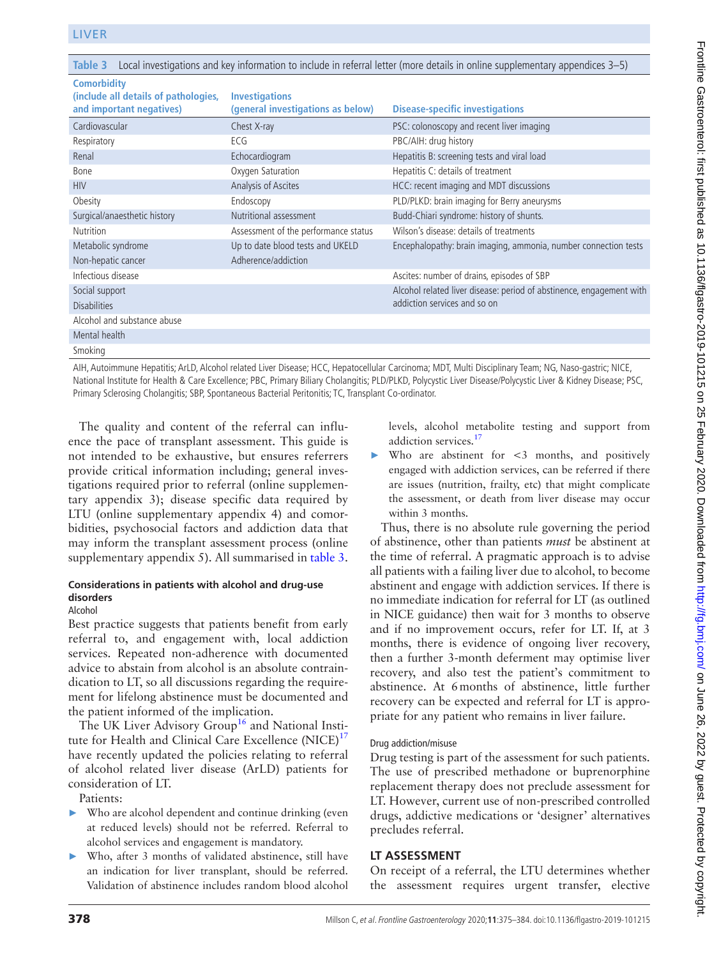<span id="page-3-0"></span>

| Local investigations and key information to include in referral letter (more details in online supplementary appendices 3-5)<br>Table 3 |                                                            |                                                                      |  |  |
|-----------------------------------------------------------------------------------------------------------------------------------------|------------------------------------------------------------|----------------------------------------------------------------------|--|--|
| <b>Comorbidity</b><br>(include all details of pathologies,<br>and important negatives)                                                  | <b>Investigations</b><br>(general investigations as below) | <b>Disease-specific investigations</b>                               |  |  |
| Cardiovascular                                                                                                                          | Chest X-ray                                                | PSC: colonoscopy and recent liver imaging                            |  |  |
| Respiratory                                                                                                                             | ECG                                                        | PBC/AIH: drug history                                                |  |  |
| Renal                                                                                                                                   | Echocardiogram                                             | Hepatitis B: screening tests and viral load                          |  |  |
| Bone                                                                                                                                    | Oxygen Saturation                                          | Hepatitis C: details of treatment                                    |  |  |
| <b>HIV</b>                                                                                                                              | Analysis of Ascites                                        | HCC: recent imaging and MDT discussions                              |  |  |
| Obesity                                                                                                                                 | Endoscopy                                                  | PLD/PLKD: brain imaging for Berry aneurysms                          |  |  |
| Surgical/anaesthetic history                                                                                                            | Nutritional assessment                                     | Budd-Chiari syndrome: history of shunts.                             |  |  |
| Nutrition                                                                                                                               | Assessment of the performance status                       | Wilson's disease: details of treatments                              |  |  |
| Metabolic syndrome                                                                                                                      | Up to date blood tests and UKELD                           | Encephalopathy: brain imaging, ammonia, number connection tests      |  |  |
| Non-hepatic cancer                                                                                                                      | Adherence/addiction                                        |                                                                      |  |  |
| Infectious disease                                                                                                                      |                                                            | Ascites: number of drains, episodes of SBP                           |  |  |
| Social support                                                                                                                          |                                                            | Alcohol related liver disease: period of abstinence, engagement with |  |  |
| <b>Disabilities</b>                                                                                                                     |                                                            | addiction services and so on                                         |  |  |
| Alcohol and substance abuse                                                                                                             |                                                            |                                                                      |  |  |
| Mental health                                                                                                                           |                                                            |                                                                      |  |  |
| Smoking                                                                                                                                 |                                                            |                                                                      |  |  |

AIH, Autoimmune Hepatitis; ArLD, Alcohol related Liver Disease; HCC, Hepatocellular Carcinoma; MDT, Multi Disciplinary Team; NG, Naso-gastric; NICE, National Institute for Health & Care Excellence; PBC, Primary Biliary Cholangitis; PLD/PLKD, Polycystic Liver Disease/Polycystic Liver & Kidney Disease; PSC, Primary Sclerosing Cholangitis; SBP, Spontaneous Bacterial Peritonitis; TC, Transplant Co-ordinator.

The quality and content of the referral can influence the pace of transplant assessment. This guide is not intended to be exhaustive, but ensures referrers provide critical information including; general investigations required prior to referral (online supplementary [appendix 3](https://dx.doi.org/10.1136/flgastro-2019-101215)); disease specific data required by LTU (online supplementary [appendix 4](https://dx.doi.org/10.1136/flgastro-2019-101215)) and comorbidities, psychosocial factors and addiction data that may inform the transplant assessment process (online supplementary [appendix 5\)](https://dx.doi.org/10.1136/flgastro-2019-101215). All summarised in [table](#page-3-0) 3.

## **Considerations in patients with alcohol and drug-use disorders**

### Alcohol

Best practice suggests that patients benefit from early referral to, and engagement with, local addiction services. Repeated non-adherence with documented advice to abstain from alcohol is an absolute contraindication to LT, so all discussions regarding the requirement for lifelong abstinence must be documented and the patient informed of the implication.

The UK Liver Advisory Group<sup>[16](#page-8-13)</sup> and National Institute for Health and Clinical Care Excellence (NICE)<sup>17</sup> have recently updated the policies relating to referral of alcohol related liver disease (ArLD) patients for consideration of LT.

Patients:

- ► Who are alcohol dependent and continue drinking (even at reduced levels) should not be referred. Referral to alcohol services and engagement is mandatory.
- Who, after 3 months of validated abstinence, still have an indication for liver transplant, should be referred. Validation of abstinence includes random blood alcohol

levels, alcohol metabolite testing and support from addiction services.<sup>[17](#page-8-14)</sup>

► Who are abstinent for <3 months, and positively engaged with addiction services, can be referred if there are issues (nutrition, frailty, etc) that might complicate the assessment, or death from liver disease may occur within 3 months.

Thus, there is no absolute rule governing the period of abstinence, other than patients *must* be abstinent at the time of referral. A pragmatic approach is to advise all patients with a failing liver due to alcohol, to become abstinent and engage with addiction services. If there is no immediate indication for referral for LT (as outlined in NICE guidance) then wait for 3 months to observe and if no improvement occurs, refer for LT. If, at 3 months, there is evidence of ongoing liver recovery, then a further 3-month deferment may optimise liver recovery, and also test the patient's commitment to abstinence. At 6months of abstinence, little further recovery can be expected and referral for LT is appropriate for any patient who remains in liver failure.

#### Drug addiction/misuse

Drug testing is part of the assessment for such patients. The use of prescribed methadone or buprenorphine replacement therapy does not preclude assessment for LT. However, current use of non-prescribed controlled drugs, addictive medications or 'designer' alternatives precludes referral.

### **LT assessment**

On receipt of a referral, the LTU determines whether the assessment requires urgent transfer, elective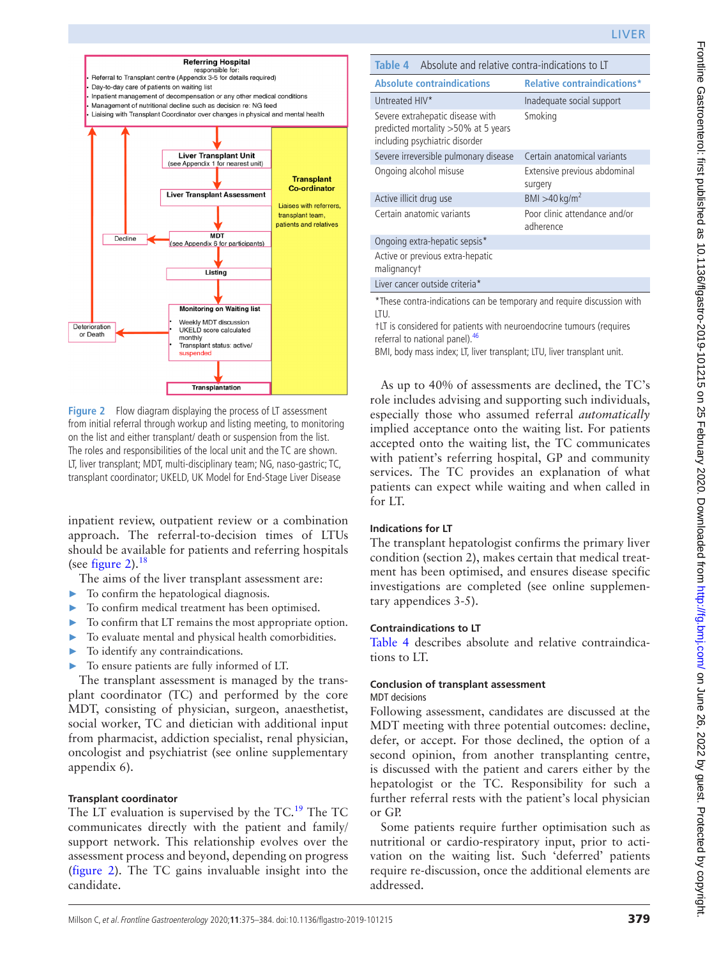

<span id="page-4-0"></span>**Figure 2** Flow diagram displaying the process of LT assessment from initial referral through workup and listing meeting, to monitoring on the list and either transplant/ death or suspension from the list. The roles and responsibilities of the local unit and the TC are shown. LT, liver transplant; MDT, multi-disciplinary team; NG, naso-gastric; TC, transplant coordinator; UKELD, UK Model for End-Stage Liver Disease

inpatient review, outpatient review or a combination approach. The referral-to-decision times of LTUs should be available for patients and referring hospitals (see [figure](#page-4-0) 2). $18$ 

The aims of the liver transplant assessment are:

- To confirm the hepatological diagnosis.
- ► To confirm medical treatment has been optimised.
- To confirm that LT remains the most appropriate option.
- ► To evaluate mental and physical health comorbidities.
- ► To identify any contraindications.
- To ensure patients are fully informed of LT.

The transplant assessment is managed by the transplant coordinator (TC) and performed by the core MDT, consisting of physician, surgeon, anaesthetist, social worker, TC and dietician with additional input from pharmacist, addiction specialist, renal physician, oncologist and psychiatrist (see online supplementary [appendix 6\)](https://dx.doi.org/10.1136/flgastro-2019-101215).

#### **Transplant coordinator**

The LT evaluation is supervised by the TC.<sup>[19](#page-8-16)</sup> The TC communicates directly with the patient and family/ support network. This relationship evolves over the assessment process and beyond, depending on progress ([figure](#page-4-0) 2). The TC gains invaluable insight into the candidate.

<span id="page-4-1"></span>

| Absolute and relative contra-indications to LT<br>Table 4                                                  |                                            |  |
|------------------------------------------------------------------------------------------------------------|--------------------------------------------|--|
| <b>Absolute contraindications</b>                                                                          | <b>Relative contraindications*</b>         |  |
| Untreated HIV*                                                                                             | Inadequate social support                  |  |
| Severe extrahepatic disease with<br>predicted mortality > 50% at 5 years<br>including psychiatric disorder | Smoking                                    |  |
| Severe irreversible pulmonary disease                                                                      | Certain anatomical variants                |  |
| Ongoing alcohol misuse                                                                                     | Extensive previous abdominal<br>surgery    |  |
| Active illicit drug use                                                                                    | BMI $>40$ kg/m <sup>2</sup>                |  |
| Certain anatomic variants                                                                                  | Poor clinic attendance and/or<br>adherence |  |
| Ongoing extra-hepatic sepsis*                                                                              |                                            |  |
| Active or previous extra-hepatic<br>malignancyt                                                            |                                            |  |
| Liver cancer outside criteria*                                                                             |                                            |  |
| *These contra-indications can be temporary and require discussion with                                     |                                            |  |

LTU. †LT is considered for patients with neuroendocrine tumours (requires referral to national panel).<sup>46</sup>

BMI, body mass index; LT, liver transplant; LTU, liver transplant unit.

As up to 40% of assessments are declined, the TC's role includes advising and supporting such individuals, especially those who assumed referral *automatically* implied acceptance onto the waiting list. For patients accepted onto the waiting list, the TC communicates with patient's referring hospital, GP and community services. The TC provides an explanation of what patients can expect while waiting and when called in for LT.

#### **Indications for LT**

The transplant hepatologist confirms the primary liver condition (section 2), makes certain that medical treatment has been optimised, and ensures disease specific investigations are completed (see online supplementary [appendices 3-5\)](https://dx.doi.org/10.1136/flgastro-2019-101215).

## **Contraindications to LT**

[Table](#page-4-1) 4 describes absolute and relative contraindications to LT.

## **Conclusion of transplant assessment**

#### MDT decisions

Following assessment, candidates are discussed at the MDT meeting with three potential outcomes: decline, defer, or accept. For those declined, the option of a second opinion, from another transplanting centre, is discussed with the patient and carers either by the hepatologist or the TC. Responsibility for such a further referral rests with the patient's local physician or GP.

Some patients require further optimisation such as nutritional or cardio-respiratory input, prior to activation on the waiting list. Such 'deferred' patients require re-discussion, once the additional elements are addressed.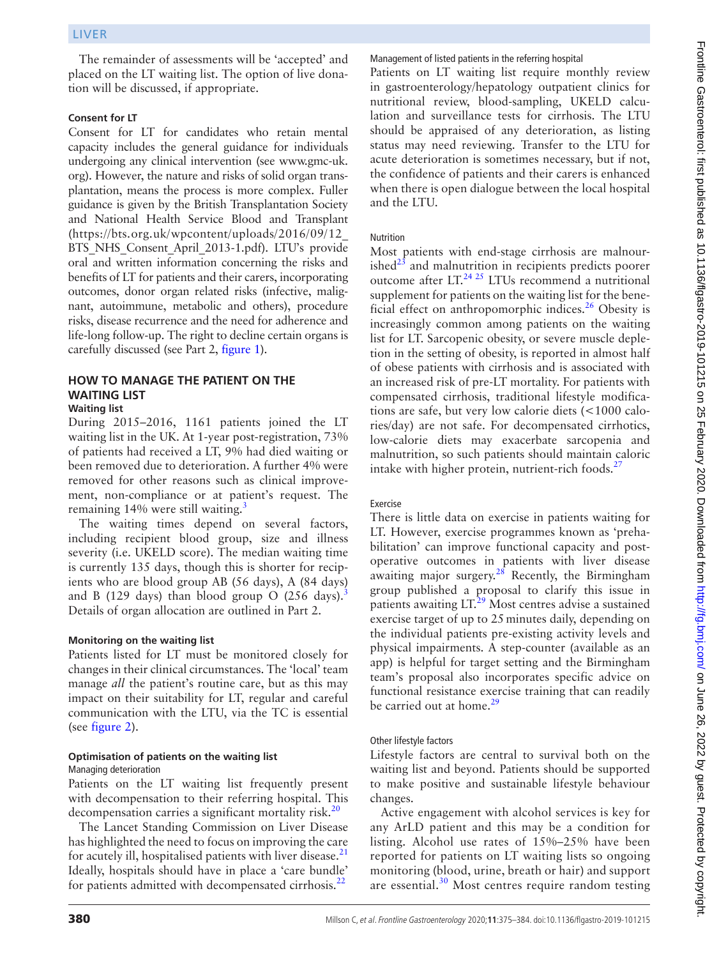The remainder of assessments will be 'accepted' and placed on the LT waiting list. The option of live donation will be discussed, if appropriate.

#### **Consent for LT**

Consent for LT for candidates who retain mental capacity includes the general guidance for individuals undergoing any clinical intervention (see [www.gmc-uk.](www.gmc-uk.org) [org](www.gmc-uk.org)). However, the nature and risks of solid organ transplantation, means the process is more complex. Fuller guidance is given by the British Transplantation Society and National Health Service Blood and Transplant ([https://bts.org.uk/wpcontent/uploads/2016/09/12\\_](https://bts.org.uk/wpcontent/uploads/2016/09/12_BTS_NHS_Consent_April_2013-1.pdf) BTS NHS Consent April 2013-1.pdf). LTU's provide oral and written information concerning the risks and benefits of LT for patients and their carers, incorporating outcomes, donor organ related risks (infective, malignant, autoimmune, metabolic and others), procedure risks, disease recurrence and the need for adherence and life-long follow-up. The right to decline certain organs is carefully discussed (see Part 2, [figure](#page-2-0) 1).

#### **How to manage the patient on the WAITING LIST Waiting list**

During 2015–2016, 1161 patients joined the LT waiting list in the UK. At 1-year post-registration, 73% of patients had received a LT, 9% had died waiting or been removed due to deterioration. A further 4% were removed for other reasons such as clinical improvement, non-compliance or at patient's request. The remaining 14% were still waiting.<sup>3</sup>

The waiting times depend on several factors, including recipient blood group, size and illness severity (i.e. UKELD score). The median waiting time is currently 135 days, though this is shorter for recipients who are blood group AB (56 days), A (84 days) and B (129 days) than blood group O (256 days).<sup>[3](#page-8-6)</sup> Details of organ allocation are outlined in Part 2.

#### **Monitoring on the waiting list**

Patients listed for LT must be monitored closely for changes in their clinical circumstances. The 'local' team manage *all* the patient's routine care, but as this may impact on their suitability for LT, regular and careful communication with the LTU, via the TC is essential (see [figure](#page-4-0) 2).

#### **Optimisation of patients on the waiting list** Managing deterioration

Patients on the LT waiting list frequently present with decompensation to their referring hospital. This decompensation carries a significant mortality risk.<sup>[20](#page-8-17)</sup>

The Lancet Standing Commission on Liver Disease has highlighted the need to focus on improving the care for acutely ill, hospitalised patients with liver disease.<sup>21</sup> Ideally, hospitals should have in place a 'care bundle' for patients admitted with decompensated cirrhosis. $^{22}$  $^{22}$  $^{22}$ 

#### Management of listed patients in the referring hospital

Patients on LT waiting list require monthly review in gastroenterology/hepatology outpatient clinics for nutritional review, blood-sampling, UKELD calculation and surveillance tests for cirrhosis. The LTU should be appraised of any deterioration, as listing status may need reviewing. Transfer to the LTU for acute deterioration is sometimes necessary, but if not, the confidence of patients and their carers is enhanced when there is open dialogue between the local hospital and the LTU.

#### Nutrition

Most patients with end-stage cirrhosis are malnourished $^{23}$  $^{23}$  $^{23}$  and malnutrition in recipients predicts poorer outcome after  $LT^{24}$   $25$  LTUs recommend a nutritional supplement for patients on the waiting list for the bene-ficial effect on anthropomorphic indices.<sup>[26](#page-8-22)</sup> Obesity is increasingly common among patients on the waiting list for LT. Sarcopenic obesity, or severe muscle depletion in the setting of obesity, is reported in almost half of obese patients with cirrhosis and is associated with an increased risk of pre-LT mortality. For patients with compensated cirrhosis, traditional lifestyle modifications are safe, but very low calorie diets (<1000 calories/day) are not safe. For decompensated cirrhotics, low-calorie diets may exacerbate sarcopenia and malnutrition, so such patients should maintain caloric intake with higher protein, nutrient-rich foods. $27$ 

#### Exercise

There is little data on exercise in patients waiting for LT. However, exercise programmes known as 'prehabilitation' can improve functional capacity and postoperative outcomes in patients with liver disease awaiting major surgery. $28$  Recently, the Birmingham group published a proposal to clarify this issue in patients awaiting  $LT^{29}$  Most centres advise a sustained exercise target of up to 25minutes daily, depending on the individual patients pre-existing activity levels and physical impairments. A step-counter (available as an app) is helpful for target setting and the Birmingham team's proposal also incorporates specific advice on functional resistance exercise training that can readily be carried out at home. $^{29}$  $^{29}$  $^{29}$ 

#### Other lifestyle factors

Lifestyle factors are central to survival both on the waiting list and beyond. Patients should be supported to make positive and sustainable lifestyle behaviour changes.

Active engagement with alcohol services is key for any ArLD patient and this may be a condition for listing. Alcohol use rates of 15%–25% have been reported for patients on LT waiting lists so ongoing monitoring (blood, urine, breath or hair) and support are essential. $30$  Most centres require random testing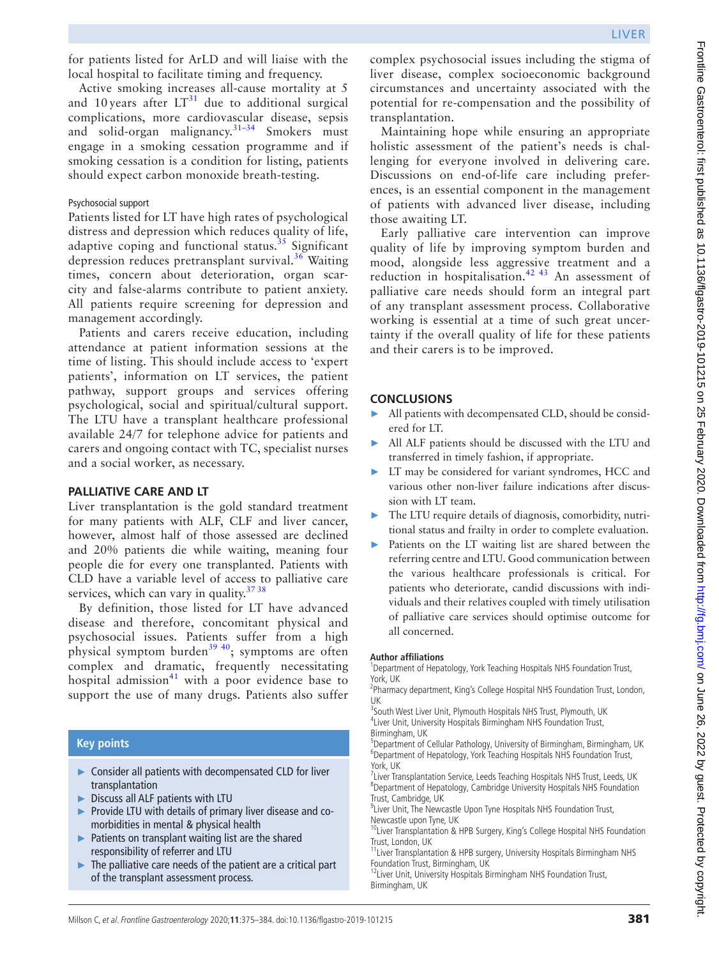for patients listed for ArLD and will liaise with the local hospital to facilitate timing and frequency.

Active smoking increases all-cause mortality at 5 and 10 years after  $LT^{31}$  due to additional surgical complications, more cardiovascular disease, sepsis and solid-organ malignancy.<sup>31-34</sup> Smokers must engage in a smoking cessation programme and if smoking cessation is a condition for listing, patients should expect carbon monoxide breath-testing.

#### Psychosocial support

Patients listed for LT have high rates of psychological distress and depression which reduces quality of life, adaptive coping and functional status.<sup>35</sup> Significant depression reduces pretransplant survival.<sup>[36](#page-8-29)</sup> Waiting times, concern about deterioration, organ scarcity and false-alarms contribute to patient anxiety. All patients require screening for depression and management accordingly.

Patients and carers receive education, including attendance at patient information sessions at the time of listing. This should include access to 'expert patients', information on LT services, the patient pathway, support groups and services offering psychological, social and spiritual/cultural support. The LTU have a transplant healthcare professional available 24/7 for telephone advice for patients and carers and ongoing contact with TC, specialist nurses and a social worker, as necessary.

## **PALLIATIVE CARE AND LT**

Liver transplantation is the gold standard treatment for many patients with ALF, CLF and liver cancer, however, almost half of those assessed are declined and 20% patients die while waiting, meaning four people die for every one transplanted. Patients with CLD have a variable level of access to palliative care services, which can vary in quality.<sup>[37 38](#page-8-30)</sup>

By definition, those listed for LT have advanced disease and therefore, concomitant physical and psychosocial issues. Patients suffer from a high physical symptom burden<sup>39 40</sup>; symptoms are often complex and dramatic, frequently necessitating hospital admission $41$  with a poor evidence base to support the use of many drugs. Patients also suffer

#### **Key points**

- ► Consider all patients with decompensated CLD for liver transplantation
- ► Discuss all ALF patients with LTU
- ► Provide LTU with details of primary liver disease and comorbidities in mental & physical health
- ► Patients on transplant waiting list are the shared responsibility of referrer and LTU
- The palliative care needs of the patient are a critical part of the transplant assessment process.

complex psychosocial issues including the stigma of liver disease, complex socioeconomic background circumstances and uncertainty associated with the potential for re-compensation and the possibility of transplantation.

Maintaining hope while ensuring an appropriate holistic assessment of the patient's needs is challenging for everyone involved in delivering care. Discussions on end-of-life care including preferences, is an essential component in the management of patients with advanced liver disease, including those awaiting LT.

Early palliative care intervention can improve quality of life by improving symptom burden and mood, alongside less aggressive treatment and a reduction in hospitalisation.<sup>[42 43](#page-9-2)</sup> An assessment of palliative care needs should form an integral part of any transplant assessment process. Collaborative working is essential at a time of such great uncertainty if the overall quality of life for these patients and their carers is to be improved.

#### **Conclusions**

- ► All patients with decompensated CLD, should be considered for LT.
- All ALF patients should be discussed with the LTU and transferred in timely fashion, if appropriate.
- LT may be considered for variant syndromes, HCC and various other non-liver failure indications after discussion with LT team.
- ► The LTU require details of diagnosis, comorbidity, nutritional status and frailty in order to complete evaluation.
- Patients on the LT waiting list are shared between the referring centre and LTU. Good communication between the various healthcare professionals is critical. For patients who deteriorate, candid discussions with individuals and their relatives coupled with timely utilisation of palliative care services should optimise outcome for all concerned.

#### **Author affiliations**

<sup>1</sup>Department of Hepatology, York Teaching Hospitals NHS Foundation Trust, York, UK

<sup>2</sup>Pharmacy department, King's College Hospital NHS Foundation Trust, London, UK

<sup>3</sup>South West Liver Unit, Plymouth Hospitals NHS Trust, Plymouth, UK

4 Liver Unit, University Hospitals Birmingham NHS Foundation Trust, Birmingham, UK

<sup>5</sup>Department of Cellular Pathology, University of Birmingham, Birmingham, UK 6 Department of Hepatology, York Teaching Hospitals NHS Foundation Trust, York, UK

<sup>7</sup> Liver Transplantation Service, Leeds Teaching Hospitals NHS Trust, Leeds, UK 8 Department of Hepatology, Cambridge University Hospitals NHS Foundation Trust, Cambridge, UK

<sup>9</sup> Liver Unit, The Newcastle Upon Tyne Hospitals NHS Foundation Trust, Newcastle upon Tyne, UK

<sup>10</sup>Liver Transplantation & HPB Surgery, King's College Hospital NHS Foundation Trust, London, UK

<sup>12</sup>Liver Unit, University Hospitals Birmingham NHS Foundation Trust, Birmingham, UK

<sup>&</sup>lt;sup>11</sup>Liver Transplantation & HPB surgery, University Hospitals Birmingham NHS Foundation Trust, Birmingham, UK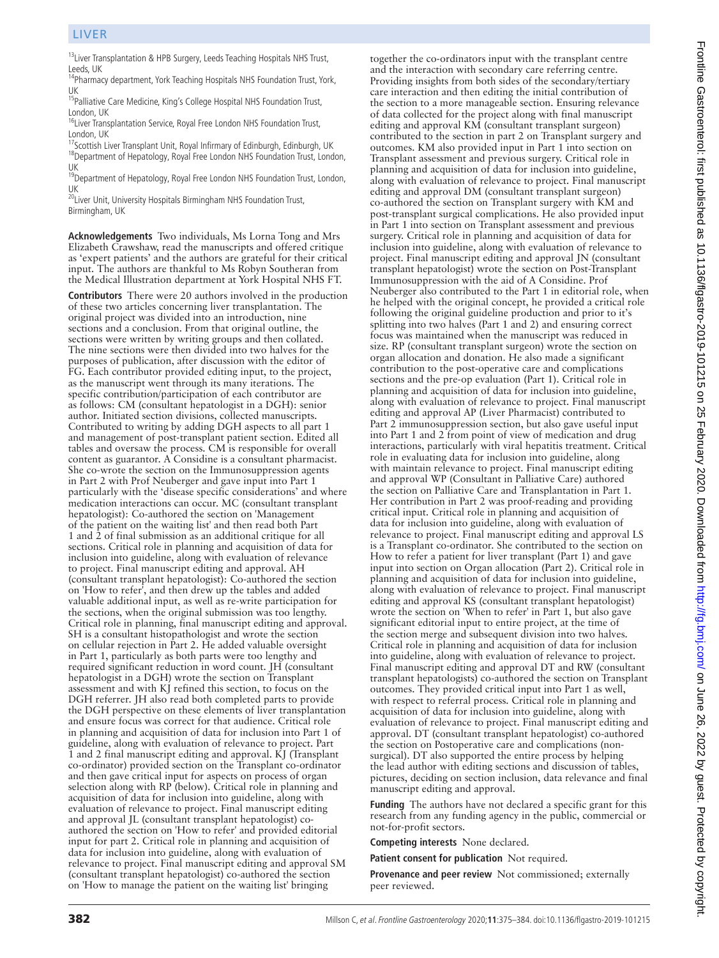<sup>13</sup>Liver Transplantation & HPB Surgery, Leeds Teaching Hospitals NHS Trust, Leeds, UK

<sup>14</sup>Pharmacy department, York Teaching Hospitals NHS Foundation Trust, York, UK

<sup>15</sup>Palliative Care Medicine, King's College Hospital NHS Foundation Trust, London, UK

<sup>16</sup>Liver Transplantation Service, Royal Free London NHS Foundation Trust, London, UK

<sup>17</sup>Scottish Liver Transplant Unit, Royal Infirmary of Edinburgh, Edinburgh, UK <sup>18</sup>Department of Hepatology, Royal Free London NHS Foundation Trust, London,

UK 19Department of Hepatology, Royal Free London NHS Foundation Trust, London, UK

<sup>20</sup>Liver Unit, University Hospitals Birmingham NHS Foundation Trust, Birmingham, UK

**Acknowledgements** Two individuals, Ms Lorna Tong and Mrs Elizabeth Crawshaw, read the manuscripts and offered critique as 'expert patients' and the authors are grateful for their critical input. The authors are thankful to Ms Robyn Southeran from the Medical Illustration department at York Hospital NHS FT.

**Contributors** There were 20 authors involved in the production of these two articles concerning liver transplantation. The original project was divided into an introduction, nine sections and a conclusion. From that original outline, the sections were written by writing groups and then collated. The nine sections were then divided into two halves for the purposes of publication, after discussion with the editor of FG. Each contributor provided editing input, to the project, as the manuscript went through its many iterations. The specific contribution/participation of each contributor are as follows: CM (consultant hepatologist in a DGH): senior author. Initiated section divisions, collected manuscripts. Contributed to writing by adding DGH aspects to all part 1 and management of post-transplant patient section. Edited all tables and oversaw the process. CM is responsible for overall content as guarantor. A Considine is a consultant pharmacist. She co-wrote the section on the Immunosuppression agents in Part 2 with Prof Neuberger and gave input into Part 1 particularly with the 'disease specific considerations' and where medication interactions can occur. MC (consultant transplant hepatologist): Co-authored the section on 'Management of the patient on the waiting list' and then read both Part 1 and 2 of final submission as an additional critique for all sections. Critical role in planning and acquisition of data for inclusion into guideline, along with evaluation of relevance to project. Final manuscript editing and approval. AH (consultant transplant hepatologist): Co-authored the section on 'How to refer', and then drew up the tables and added valuable additional input, as well as re-write participation for the sections, when the original submission was too lengthy. Critical role in planning, final manuscript editing and approval. SH is a consultant histopathologist and wrote the section on cellular rejection in Part 2. He added valuable oversight in Part 1, particularly as both parts were too lengthy and required significant reduction in word count. JH (consultant hepatologist in a DGH) wrote the section on Transplant assessment and with KJ refined this section, to focus on the DGH referrer. JH also read both completed parts to provide the DGH perspective on these elements of liver transplantation and ensure focus was correct for that audience. Critical role in planning and acquisition of data for inclusion into Part 1 of guideline, along with evaluation of relevance to project. Part 1 and 2 final manuscript editing and approval. KJ (Transplant co-ordinator) provided section on the Transplant co-ordinator and then gave critical input for aspects on process of organ selection along with RP (below). Critical role in planning and acquisition of data for inclusion into guideline, along with evaluation of relevance to project. Final manuscript editing and approval JL (consultant transplant hepatologist) coauthored the section on 'How to refer' and provided editorial input for part 2. Critical role in planning and acquisition of data for inclusion into guideline, along with evaluation of relevance to project. Final manuscript editing and approval SM (consultant transplant hepatologist) co-authored the section on 'How to manage the patient on the waiting list' bringing

together the co-ordinators input with the transplant centre and the interaction with secondary care referring centre. Providing insights from both sides of the secondary/tertiary care interaction and then editing the initial contribution of the section to a more manageable section. Ensuring relevance of data collected for the project along with final manuscript editing and approval KM (consultant transplant surgeon) contributed to the section in part 2 on Transplant surgery and outcomes. KM also provided input in Part 1 into section on Transplant assessment and previous surgery. Critical role in planning and acquisition of data for inclusion into guideline, along with evaluation of relevance to project. Final manuscript editing and approval DM (consultant transplant surgeon) co-authored the section on Transplant surgery with KM and post-transplant surgical complications. He also provided input in Part 1 into section on Transplant assessment and previous surgery. Critical role in planning and acquisition of data for inclusion into guideline, along with evaluation of relevance to project. Final manuscript editing and approval JN (consultant transplant hepatologist) wrote the section on Post-Transplant Immunosuppression with the aid of A Considine. Prof Neuberger also contributed to the Part 1 in editorial role, when he helped with the original concept, he provided a critical role following the original guideline production and prior to it's splitting into two halves (Part 1 and 2) and ensuring correct focus was maintained when the manuscript was reduced in size. RP (consultant transplant surgeon) wrote the section on organ allocation and donation. He also made a significant contribution to the post-operative care and complications sections and the pre-op evaluation (Part 1). Critical role in planning and acquisition of data for inclusion into guideline, along with evaluation of relevance to project. Final manuscript editing and approval AP (Liver Pharmacist) contributed to Part 2 immunosuppression section, but also gave useful input into Part 1 and 2 from point of view of medication and drug interactions, particularly with viral hepatitis treatment. Critical role in evaluating data for inclusion into guideline, along with maintain relevance to project. Final manuscript editing and approval WP (Consultant in Palliative Care) authored the section on Palliative Care and Transplantation in Part 1. Her contribution in Part 2 was proof-reading and providing critical input. Critical role in planning and acquisition of data for inclusion into guideline, along with evaluation of relevance to project. Final manuscript editing and approval LS is a Transplant co-ordinator. She contributed to the section on How to refer a patient for liver transplant (Part 1) and gave input into section on Organ allocation (Part 2). Critical role in planning and acquisition of data for inclusion into guideline, along with evaluation of relevance to project. Final manuscript editing and approval KS (consultant transplant hepatologist) wrote the section on 'When to refer' in Part 1, but also gave significant editorial input to entire project, at the time of the section merge and subsequent division into two halves. Critical role in planning and acquisition of data for inclusion into guideline, along with evaluation of relevance to project. Final manuscript editing and approval DT and RW (consultant transplant hepatologists) co-authored the section on Transplant outcomes. They provided critical input into Part 1 as well, with respect to referral process. Critical role in planning and acquisition of data for inclusion into guideline, along with evaluation of relevance to project. Final manuscript editing and approval. DT (consultant transplant hepatologist) co-authored the section on Postoperative care and complications (nonsurgical). DT also supported the entire process by helping the lead author with editing sections and discussion of tables, pictures, deciding on section inclusion, data relevance and final manuscript editing and approval.

**Funding** The authors have not declared a specific grant for this research from any funding agency in the public, commercial or not-for-profit sectors.

**Competing interests** None declared.

**Patient consent for publication** Not required.

**Provenance and peer review** Not commissioned; externally peer reviewed.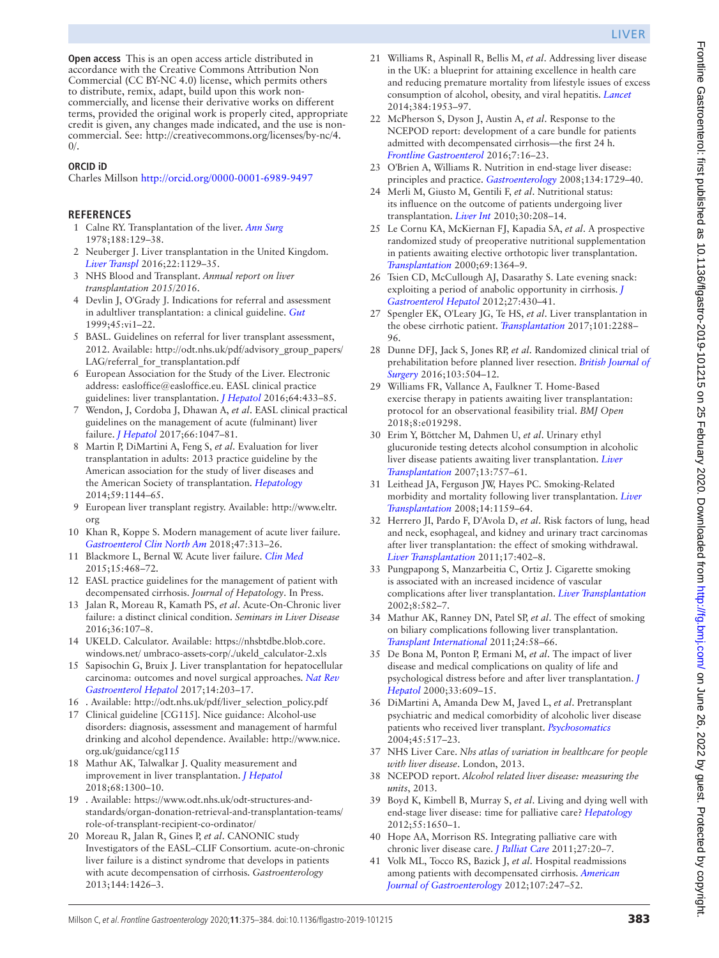**Open access** This is an open access article distributed in accordance with the Creative Commons Attribution Non Commercial (CC BY-NC 4.0) license, which permits others to distribute, remix, adapt, build upon this work noncommercially, and license their derivative works on different terms, provided the original work is properly cited, appropriate credit is given, any changes made indicated, and the use is noncommercial. See: [http://creativecommons.org/licenses/by-nc/4.](http://creativecommons.org/licenses/by-nc/4.0/)  $0/$ .

#### **ORCID iD**

Charles Millson <http://orcid.org/0000-0001-6989-9497>

#### **References**

- <span id="page-8-0"></span>1 Calne RY. Transplantation of the liver. *[Ann Surg](http://dx.doi.org/10.1097/00000658-197808000-00001)* 1978;188:129–38.
- 2 Neuberger J. Liver transplantation in the United Kingdom. *[Liver Transpl](http://dx.doi.org/10.1002/lt.24462)* 2016;22:1129–35.
- <span id="page-8-6"></span>3 NHS Blood and Transplant. *Annual report on liver transplantation 2015/2016*.
- <span id="page-8-1"></span>4 Devlin J, O'Grady J. Indications for referral and assessment in adultliver transplantation: a clinical guideline. *[Gut](http://dx.doi.org/10.1136/gut.45.2008.vi1)* 1999;45:vi1–22.
- <span id="page-8-2"></span>5 BASL. Guidelines on referral for liver transplant assessment, 2012. Available: [http://odt.nhs.uk/pdf/advisory\\_group\\_papers/](http://odt.nhs.uk/pdf/advisory_group_papers/LAG/referral_for_transplantation.pdf) [LAG/referral\\_for\\_transplantation.pdf](http://odt.nhs.uk/pdf/advisory_group_papers/LAG/referral_for_transplantation.pdf)
- <span id="page-8-3"></span>6 European Association for the Study of the Liver. Electronic address: easloffice@easloffice.eu. EASL clinical practice guidelines: liver transplantation. *[J Hepatol](http://dx.doi.org/10.1016/j.jhep.2015.10.006)* 2016;64:433–85.
- <span id="page-8-4"></span>7 Wendon, J, Cordoba J, Dhawan A, *et al*. EASL clinical practical guidelines on the management of acute (fulminant) liver failure. *[J Hepatol](http://dx.doi.org/10.1016/j.jhep.2016.12.003)* 2017;66:1047–81.
- <span id="page-8-5"></span>8 Martin P, DiMartini A, Feng S, *et al*. Evaluation for liver transplantation in adults: 2013 practice guideline by the American association for the study of liver diseases and the American Society of transplantation. *[Hepatology](http://dx.doi.org/10.1002/hep.26972)* 2014;59:1144–65.
- <span id="page-8-7"></span>9 European liver transplant registry. Available: [http://www.eltr.](http://www.eltr.org) [org](http://www.eltr.org)
- <span id="page-8-8"></span>10 Khan R, Koppe S. Modern management of acute liver failure. *[Gastroenterol Clin North Am](http://dx.doi.org/10.1016/j.gtc.2018.01.005)* 2018;47:313–26.
- <span id="page-8-9"></span>11 Blackmore L, Bernal W. Acute liver failure. *[Clin Med](http://dx.doi.org/10.7861/clinmedicine.15-5-468)* 2015;15:468–72.
- <span id="page-8-10"></span>12 EASL practice guidelines for the management of patient with decompensated cirrhosis. *Journal of Hepatology*. In Press.
- <span id="page-8-11"></span>13 Jalan R, Moreau R, Kamath PS, *et al*. Acute-On-Chronic liver failure: a distinct clinical condition. *Seminars in Liver Disease* 2016;36:107–8.
- <span id="page-8-12"></span>14 UKELD. Calculator. Available: [https://nhsbtdbe.blob.core.](https://nhsbtdbe.blob.core.windows.net/%20umbraco-assets-corp/./ukeld_calculator-2.xls) [windows.net/ umbraco-assets-corp/./ukeld\\_calculator-2.xls](https://nhsbtdbe.blob.core.windows.net/%20umbraco-assets-corp/./ukeld_calculator-2.xls)
- 15 Sapisochin G, Bruix J. Liver transplantation for hepatocellular carcinoma: outcomes and novel surgical approaches. *[Nat Rev](http://dx.doi.org/10.1038/nrgastro.2016.193)  [Gastroenterol Hepatol](http://dx.doi.org/10.1038/nrgastro.2016.193)* 2017;14:203–17.
- <span id="page-8-13"></span>16 . Available: [http://odt.nhs.uk/pdf/liver\\_selection\\_policy.pdf](http://odt.nhs.uk/pdf/liver_selection_policy.pdf)
- <span id="page-8-14"></span>17 Clinical guideline [CG115]. Nice guidance: Alcohol-use disorders: diagnosis, assessment and management of harmful drinking and alcohol dependence. Available: [http://www.nice.](http://www.nice.org.uk/guidance/cg115) [org.uk/guidance/cg115](http://www.nice.org.uk/guidance/cg115)
- <span id="page-8-15"></span>18 Mathur AK, Talwalkar J. Quality measurement and improvement in liver transplantation. *[J Hepatol](http://dx.doi.org/10.1016/j.jhep.2018.02.034)* 2018;68:1300–10.
- <span id="page-8-16"></span>19 . Available: [https://www.odt.nhs.uk/odt-structures-and](https://www.odt.nhs.uk/odt-structures-and-standards/organ-donation-retrieval-and-transplantation-teams/role-of-transplant-recipient-co-ordinator/)[standards/organ-donation-retrieval-and-transplantation-teams/](https://www.odt.nhs.uk/odt-structures-and-standards/organ-donation-retrieval-and-transplantation-teams/role-of-transplant-recipient-co-ordinator/) [role-of-transplant-recipient-co-ordinator/](https://www.odt.nhs.uk/odt-structures-and-standards/organ-donation-retrieval-and-transplantation-teams/role-of-transplant-recipient-co-ordinator/)
- <span id="page-8-17"></span>20 Moreau R, Jalan R, Gines P, *et al*. CANONIC study Investigators of the EASL–CLIF Consortium. acute-on-chronic liver failure is a distinct syndrome that develops in patients with acute decompensation of cirrhosis. *Gastroenterology* 2013;144:1426–3.

<span id="page-8-18"></span>21 Williams R, Aspinall R, Bellis M, *et al*. Addressing liver disease in the UK: a blueprint for attaining excellence in health care and reducing premature mortality from lifestyle issues of excess consumption of alcohol, obesity, and viral hepatitis. *[Lancet](http://dx.doi.org/10.1016/S0140-6736(14)61838-9)* 2014;384:1953–97.

**LIVER** 

- <span id="page-8-19"></span>22 McPherson S, Dyson J, Austin A, *et al*. Response to the NCEPOD report: development of a care bundle for patients admitted with decompensated cirrhosis—the first 24 h. *[Frontline Gastroenterol](http://dx.doi.org/10.1136/flgastro-2014-100491)* 2016;7:16–23.
- <span id="page-8-20"></span>23 O'Brien A, Williams R. Nutrition in end-stage liver disease: principles and practice. *[Gastroenterology](http://dx.doi.org/10.1053/j.gastro.2008.02.001)* 2008;134:1729–40.
- <span id="page-8-21"></span>24 Merli M, Giusto M, Gentili F, *et al*. Nutritional status: its influence on the outcome of patients undergoing liver transplantation. *[Liver Int](http://dx.doi.org/10.1111/j.1478-3231.2009.02135.x)* 2010;30:208–14.
- 25 Le Cornu KA, McKiernan FJ, Kapadia SA, *et al*. A prospective randomized study of preoperative nutritional supplementation in patients awaiting elective orthotopic liver transplantation. *[Transplantation](http://dx.doi.org/10.1097/00007890-200004150-00026)* 2000;69:1364–9.
- <span id="page-8-22"></span>26 Tsien CD, McCullough AJ, Dasarathy S. Late evening snack: exploiting a period of anabolic opportunity in cirrhosis. *[J](http://dx.doi.org/10.1111/j.1440-1746.2011.06951.x)  [Gastroenterol Hepatol](http://dx.doi.org/10.1111/j.1440-1746.2011.06951.x)* 2012;27:430–41.
- <span id="page-8-23"></span>27 Spengler EK, O'Leary JG, Te HS, *et al*. Liver transplantation in the obese cirrhotic patient. *[Transplantation](http://dx.doi.org/10.1097/TP.0000000000001794)* 2017;101:2288– 96.
- <span id="page-8-24"></span>28 Dunne DFJ, Jack S, Jones RP, *et al*. Randomized clinical trial of prehabilitation before planned liver resection. *[British Journal of](http://dx.doi.org/10.1002/bjs.10096)  [Surgery](http://dx.doi.org/10.1002/bjs.10096)* 2016;103:504–12.
- <span id="page-8-25"></span>29 Williams FR, Vallance A, Faulkner T. Home-Based exercise therapy in patients awaiting liver transplantation: protocol for an observational feasibility trial. *BMJ Open* 2018;8:e019298.
- <span id="page-8-26"></span>30 Erim Y, Böttcher M, Dahmen U, *et al*. Urinary ethyl glucuronide testing detects alcohol consumption in alcoholic liver disease patients awaiting liver transplantation. *[Liver](http://dx.doi.org/10.1002/lt.21163)  [Transplantation](http://dx.doi.org/10.1002/lt.21163)* 2007;13:757–61.
- <span id="page-8-27"></span>31 Leithead JA, Ferguson JW, Hayes PC. Smoking-Related morbidity and mortality following liver transplantation. *[Liver](http://dx.doi.org/10.1002/lt.21471)  [Transplantation](http://dx.doi.org/10.1002/lt.21471)* 2008;14:1159–64.
- 32 Herrero JI, Pardo F, D'Avola D, *et al*. Risk factors of lung, head and neck, esophageal, and kidney and urinary tract carcinomas after liver transplantation: the effect of smoking withdrawal. *[Liver Transplantation](http://dx.doi.org/10.1002/lt.22247)* 2011;17:402–8.
- 33 Pungpapong S, Manzarbeitia C, Ortiz J. Cigarette smoking is associated with an increased incidence of vascular complications after liver transplantation. *[Liver Transplantation](http://dx.doi.org/10.1053/jlts.2002.34150)* 2002;8:582–7.
- 34 Mathur AK, Ranney DN, Patel SP, *et al*. The effect of smoking on biliary complications following liver transplantation. *[Transplant International](http://dx.doi.org/10.1111/j.1432-2277.2010.01146.x)* 2011;24:58–66.
- <span id="page-8-28"></span>35 De Bona M, Ponton P, Ermani M, *et al*. The impact of liver disease and medical complications on quality of life and psychological distress before and after liver transplantation. *[J](http://dx.doi.org/10.1034/j.1600-0641.2000.033004609.x)  [Hepatol](http://dx.doi.org/10.1034/j.1600-0641.2000.033004609.x)* 2000;33:609–15.
- <span id="page-8-29"></span>36 DiMartini A, Amanda Dew M, Javed L, *et al*. Pretransplant psychiatric and medical comorbidity of alcoholic liver disease patients who received liver transplant. *[Psychosomatics](http://dx.doi.org/10.1176/appi.psy.45.6.517)* 2004;45:517–23.
- <span id="page-8-30"></span>37 NHS Liver Care. *Nhs atlas of variation in healthcare for people with liver disease*. London, 2013.
- 38 NCEPOD report. *Alcohol related liver disease: measuring the units*, 2013.
- <span id="page-8-31"></span>39 Boyd K, Kimbell B, Murray S, *et al*. Living and dying well with end-stage liver disease: time for palliative care? *[Hepatology](http://dx.doi.org/10.1002/hep.25621)* 2012;55:1650–1.
- 40 Hope AA, Morrison RS. Integrating palliative care with chronic liver disease care. *[J Palliat Care](http://dx.doi.org/10.1177/082585971102700105)* 2011;27:20–7.
- <span id="page-8-32"></span>41 Volk ML, Tocco RS, Bazick J, *et al*. Hospital readmissions among patients with decompensated cirrhosis. *[American](http://dx.doi.org/10.1038/ajg.2011.314)  [Journal of Gastroenterology](http://dx.doi.org/10.1038/ajg.2011.314)* 2012;107:247–52.